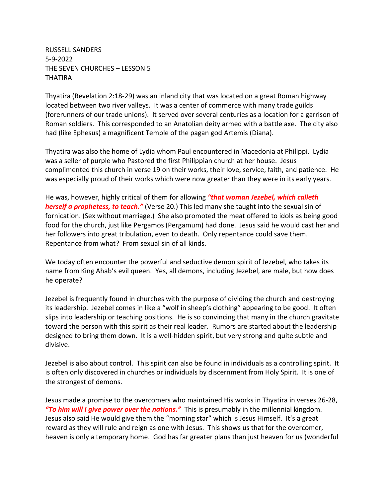RUSSELL SANDERS 5-9-2022 THE SEVEN CHURCHES – LESSON 5 **THATIRA** 

Thyatira (Revelation 2:18-29) was an inland city that was located on a great Roman highway located between two river valleys. It was a center of commerce with many trade guilds (forerunners of our trade unions). It served over several centuries as a location for a garrison of Roman soldiers. This corresponded to an Anatolian deity armed with a battle axe. The city also had (like Ephesus) a magnificent Temple of the pagan god Artemis (Diana).

Thyatira was also the home of Lydia whom Paul encountered in Macedonia at Philippi. Lydia was a seller of purple who Pastored the first Philippian church at her house. Jesus complimented this church in verse 19 on their works, their love, service, faith, and patience. He was especially proud of their works which were now greater than they were in its early years.

He was, however, highly critical of them for allowing *"that woman Jezebel, which calleth herself a prophetess, to teach."* (Verse 20.) This led many she taught into the sexual sin of fornication. (Sex without marriage.) She also promoted the meat offered to idols as being good food for the church, just like Pergamos (Pergamum) had done. Jesus said he would cast her and her followers into great tribulation, even to death. Only repentance could save them. Repentance from what? From sexual sin of all kinds.

We today often encounter the powerful and seductive demon spirit of Jezebel, who takes its name from King Ahab's evil queen. Yes, all demons, including Jezebel, are male, but how does he operate?

Jezebel is frequently found in churches with the purpose of dividing the church and destroying its leadership. Jezebel comes in like a "wolf in sheep's clothing" appearing to be good. It often slips into leadership or teaching positions. He is so convincing that many in the church gravitate toward the person with this spirit as their real leader. Rumors are started about the leadership designed to bring them down. It is a well-hidden spirit, but very strong and quite subtle and divisive.

Jezebel is also about control. This spirit can also be found in individuals as a controlling spirit. It is often only discovered in churches or individuals by discernment from Holy Spirit. It is one of the strongest of demons.

Jesus made a promise to the overcomers who maintained His works in Thyatira in verses 26-28, *"To him will I give power over the nations."* This is presumably in the millennial kingdom. Jesus also said He would give them the "morning star" which is Jesus Himself. It's a great reward as they will rule and reign as one with Jesus. This shows us that for the overcomer, heaven is only a temporary home. God has far greater plans than just heaven for us (wonderful